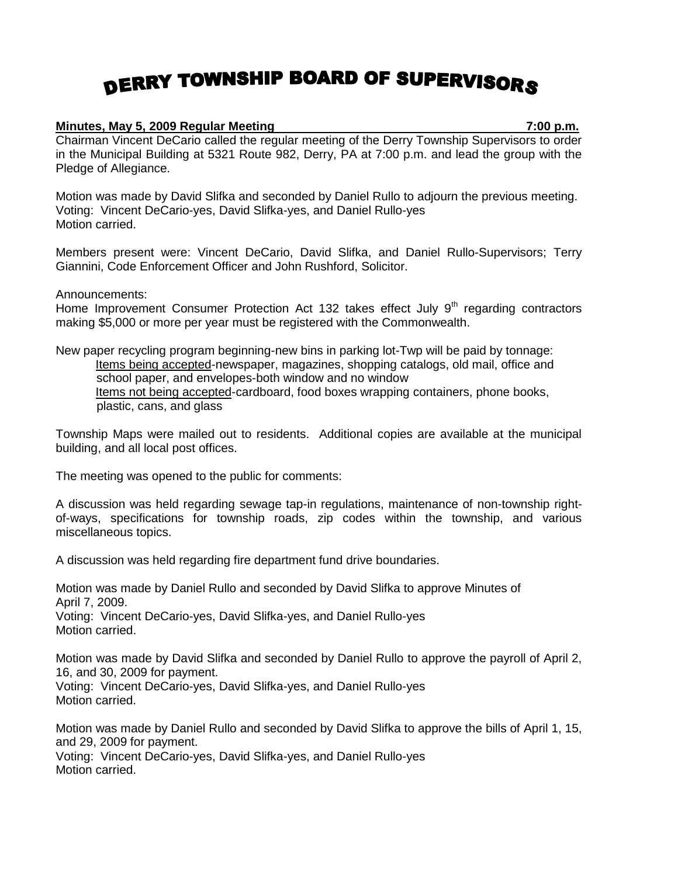## DERRY TOWNSHIP BOARD OF SUPERVISORS

## **Minutes, May 5, 2009 Regular Meeting 7:00 p.m.**

Chairman Vincent DeCario called the regular meeting of the Derry Township Supervisors to order in the Municipal Building at 5321 Route 982, Derry, PA at 7:00 p.m. and lead the group with the Pledge of Allegiance.

Motion was made by David Slifka and seconded by Daniel Rullo to adjourn the previous meeting. Voting: Vincent DeCario-yes, David Slifka-yes, and Daniel Rullo-yes Motion carried.

Members present were: Vincent DeCario, David Slifka, and Daniel Rullo-Supervisors; Terry Giannini, Code Enforcement Officer and John Rushford, Solicitor.

Announcements:

Home Improvement Consumer Protection Act 132 takes effect July  $9<sup>th</sup>$  regarding contractors making \$5,000 or more per year must be registered with the Commonwealth.

New paper recycling program beginning-new bins in parking lot-Twp will be paid by tonnage: Items being accepted-newspaper, magazines, shopping catalogs, old mail, office and school paper, and envelopes-both window and no window Items not being accepted-cardboard, food boxes wrapping containers, phone books, plastic, cans, and glass

Township Maps were mailed out to residents. Additional copies are available at the municipal building, and all local post offices.

The meeting was opened to the public for comments:

A discussion was held regarding sewage tap-in regulations, maintenance of non-township rightof-ways, specifications for township roads, zip codes within the township, and various miscellaneous topics.

A discussion was held regarding fire department fund drive boundaries.

Motion was made by Daniel Rullo and seconded by David Slifka to approve Minutes of April 7, 2009. Voting: Vincent DeCario-yes, David Slifka-yes, and Daniel Rullo-yes Motion carried.

Motion was made by David Slifka and seconded by Daniel Rullo to approve the payroll of April 2, 16, and 30, 2009 for payment. Voting: Vincent DeCario-yes, David Slifka-yes, and Daniel Rullo-yes Motion carried.

Motion was made by Daniel Rullo and seconded by David Slifka to approve the bills of April 1, 15, and 29, 2009 for payment. Voting: Vincent DeCario-yes, David Slifka-yes, and Daniel Rullo-yes Motion carried.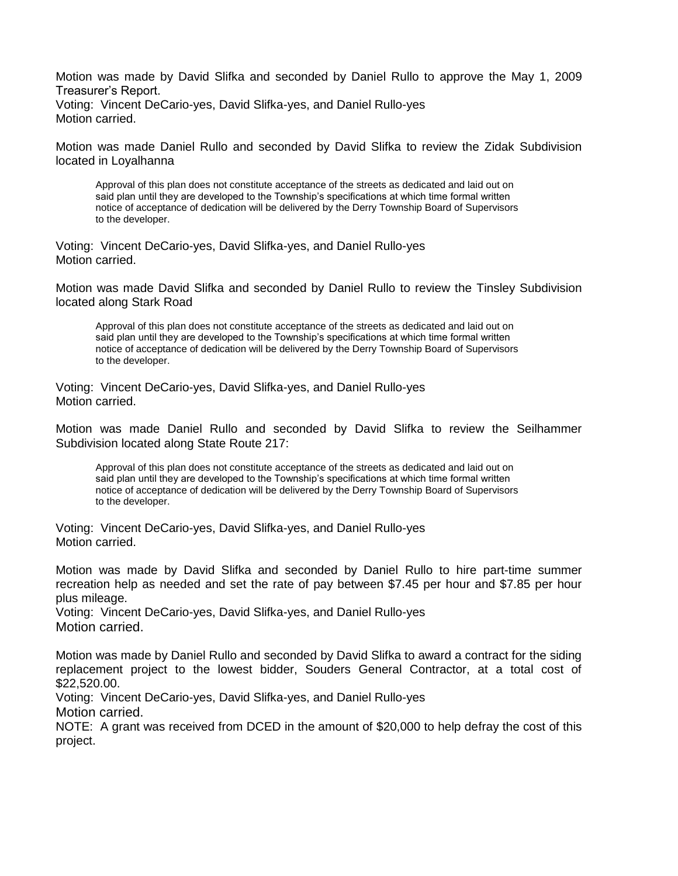Motion was made by David Slifka and seconded by Daniel Rullo to approve the May 1, 2009 Treasurer's Report. Voting: Vincent DeCario-yes, David Slifka-yes, and Daniel Rullo-yes Motion carried.

Motion was made Daniel Rullo and seconded by David Slifka to review the Zidak Subdivision located in Loyalhanna

Approval of this plan does not constitute acceptance of the streets as dedicated and laid out on said plan until they are developed to the Township's specifications at which time formal written notice of acceptance of dedication will be delivered by the Derry Township Board of Supervisors to the developer.

Voting: Vincent DeCario-yes, David Slifka-yes, and Daniel Rullo-yes Motion carried.

Motion was made David Slifka and seconded by Daniel Rullo to review the Tinsley Subdivision located along Stark Road

Approval of this plan does not constitute acceptance of the streets as dedicated and laid out on said plan until they are developed to the Township's specifications at which time formal written notice of acceptance of dedication will be delivered by the Derry Township Board of Supervisors to the developer.

Voting: Vincent DeCario-yes, David Slifka-yes, and Daniel Rullo-yes Motion carried.

Motion was made Daniel Rullo and seconded by David Slifka to review the Seilhammer Subdivision located along State Route 217:

Approval of this plan does not constitute acceptance of the streets as dedicated and laid out on said plan until they are developed to the Township's specifications at which time formal written notice of acceptance of dedication will be delivered by the Derry Township Board of Supervisors to the developer.

Voting: Vincent DeCario-yes, David Slifka-yes, and Daniel Rullo-yes Motion carried.

Motion was made by David Slifka and seconded by Daniel Rullo to hire part-time summer recreation help as needed and set the rate of pay between \$7.45 per hour and \$7.85 per hour plus mileage.

Voting: Vincent DeCario-yes, David Slifka-yes, and Daniel Rullo-yes Motion carried.

Motion was made by Daniel Rullo and seconded by David Slifka to award a contract for the siding replacement project to the lowest bidder, Souders General Contractor, at a total cost of \$22,520.00.

Voting: Vincent DeCario-yes, David Slifka-yes, and Daniel Rullo-yes Motion carried.

NOTE: A grant was received from DCED in the amount of \$20,000 to help defray the cost of this project.